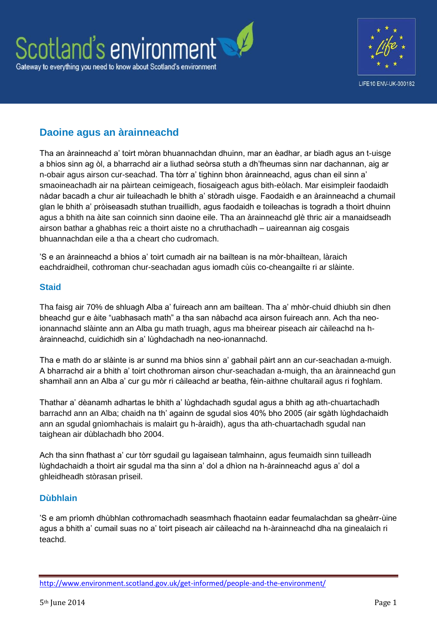

## **Daoine agus an àrainneachd**

Tha an àrainneachd a' toirt mòran bhuannachdan dhuinn, mar an èadhar, ar biadh agus an t-uisge a bhios sinn ag òl, a bharrachd air a liuthad seòrsa stuth a dh'fheumas sinn nar dachannan, aig ar n-obair agus airson cur-seachad. Tha tòrr a' tighinn bhon àrainneachd, agus chan eil sinn a' smaoineachadh air na pàirtean ceimigeach, fiosaigeach agus bith-eòlach. Mar eisimpleir faodaidh nàdar bacadh a chur air tuileachadh le bhith a' stòradh uisge. Faodaidh e an àrainneachd a chumail glan le bhith a' pròiseasadh stuthan truaillidh, agus faodaidh e toileachas is togradh a thoirt dhuinn agus a bhith na àite san coinnich sinn daoine eile. Tha an àrainneachd glè thric air a manaidseadh airson bathar a ghabhas reic a thoirt aiste no a chruthachadh – uaireannan aig cosgais bhuannachdan eile a tha a cheart cho cudromach.

'S e an àrainneachd a bhios a' toirt cumadh air na bailtean is na mòr-bhailtean, làraich eachdraidheil, cothroman chur-seachadan agus iomadh cùis co-cheangailte ri ar slàinte.

## **Staid**

Tha faisg air 70% de shluagh Alba a' fuireach ann am bailtean. Tha a' mhòr-chuid dhiubh sin dhen bheachd gur e àite "uabhasach math" a tha san nàbachd aca airson fuireach ann. Ach tha neoionannachd slàinte ann an Alba gu math truagh, agus ma bheirear piseach air càileachd na hàrainneachd, cuidichidh sin a' lùghdachadh na neo-ionannachd.

Tha e math do ar slàinte is ar sunnd ma bhios sinn a' gabhail pàirt ann an cur-seachadan a-muigh. A bharrachd air a bhith a' toirt chothroman airson chur-seachadan a-muigh, tha an àrainneachd gun shamhail ann an Alba a' cur gu mòr ri càileachd ar beatha, fèin-aithne chultarail agus ri foghlam.

Thathar a' dèanamh adhartas le bhith a' lùghdachadh sgudal agus a bhith ag ath-chuartachadh barrachd ann an Alba; chaidh na th' againn de sgudal sìos 40% bho 2005 (air sgàth lùghdachaidh ann an sgudal gnìomhachais is malairt gu h-àraidh), agus tha ath-chuartachadh sgudal nan taighean air dùblachadh bho 2004.

Ach tha sinn fhathast a' cur tòrr sgudail gu lagaisean talmhainn, agus feumaidh sinn tuilleadh lùghdachaidh a thoirt air sgudal ma tha sinn a' dol a dhìon na h-àrainneachd agus a' dol a ghleidheadh stòrasan prìseil.

## **Dùbhlain**

'S e am prìomh dhùbhlan cothromachadh seasmhach fhaotainn eadar feumalachdan sa gheàrr-ùine agus a bhith a' cumail suas no a' toirt piseach air càileachd na h-àrainneachd dha na ginealaich ri teachd.

<http://www.environment.scotland.gov.uk/get-informed/people-and-the-environment/>